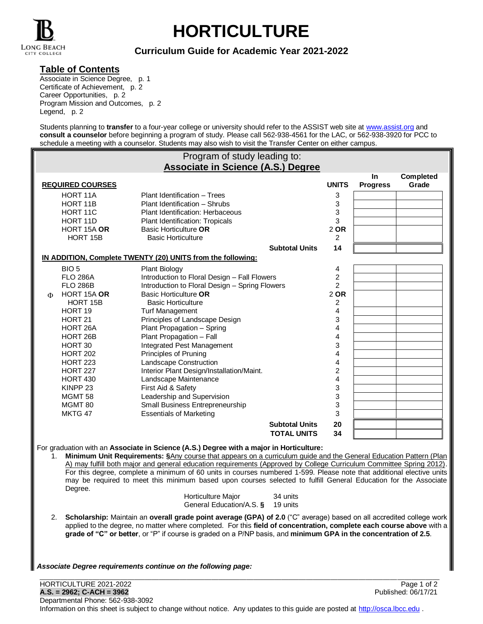

# **HORTICULTURE**

# **Curriculum Guide for Academic Year 2021-2022**

### **Table of Contents**

Associate in Science Degree, p. 1 Certificate of Achievement, p. 2 Career Opportunities, p. 2 Program Mission and Outcomes, p. 2 Legend, p. 2

Students planning to **transfer** to a four-year college or university should refer to the ASSIST web site at [www.assist.org](http://www.assist.org/) and **consult a counselor** before beginning a program of study. Please call 562-938-4561 for the LAC, or 562-938-3920 for PCC to schedule a meeting with a counselor. Students may also wish to visit the Transfer Center on either campus.

|    |                         | Program of study leading to:                                                                                                                                                                                 |                       |              |                 |             |
|----|-------------------------|--------------------------------------------------------------------------------------------------------------------------------------------------------------------------------------------------------------|-----------------------|--------------|-----------------|-------------|
|    |                         | <b>Associate in Science (A.S.) Degree</b>                                                                                                                                                                    |                       |              | In              | Completed   |
|    | <b>REQUIRED COURSES</b> |                                                                                                                                                                                                              |                       | <b>UNITS</b> | <b>Progress</b> | Grade       |
|    | HORT 11A                | Plant Identification - Trees                                                                                                                                                                                 |                       | 3            |                 |             |
|    | HORT 11B                | Plant Identification - Shrubs                                                                                                                                                                                |                       | 3            |                 |             |
|    | HORT 11C                | Plant Identification: Herbaceous                                                                                                                                                                             |                       | 3            |                 |             |
|    | HORT 11D                | Plant Identification: Tropicals                                                                                                                                                                              |                       | 3            |                 |             |
|    | HORT 15A OR             | <b>Basic Horticulture OR</b>                                                                                                                                                                                 |                       | 2 OR         |                 |             |
|    | HORT 15B                | <b>Basic Horticulture</b>                                                                                                                                                                                    |                       | 2            |                 |             |
|    |                         | IN ADDITION, Complete TWENTY (20) UNITS from the following:                                                                                                                                                  | <b>Subtotal Units</b> | 14           |                 |             |
|    | BIO <sub>5</sub>        | <b>Plant Biology</b>                                                                                                                                                                                         |                       | 4            |                 |             |
|    | <b>FLO 286A</b>         | Introduction to Floral Design - Fall Flowers                                                                                                                                                                 |                       | 2            |                 |             |
|    | <b>FLO 286B</b>         | Introduction to Floral Design - Spring Flowers                                                                                                                                                               |                       | 2            |                 |             |
| Φ  | HORT 15A OR             | Basic Horticulture OR                                                                                                                                                                                        |                       | 2 OR         |                 |             |
|    | HORT 15B                | <b>Basic Horticulture</b>                                                                                                                                                                                    |                       | 2            |                 |             |
|    | HORT 19                 | <b>Turf Management</b>                                                                                                                                                                                       |                       | 4            |                 |             |
|    | HORT <sub>21</sub>      | Principles of Landscape Design                                                                                                                                                                               |                       | 3            |                 |             |
|    | HORT <sub>26</sub> A    | Plant Propagation - Spring                                                                                                                                                                                   |                       | 4            |                 |             |
|    | HORT 26B                | Plant Propagation - Fall                                                                                                                                                                                     |                       | 4            |                 |             |
|    | HORT 30                 | Integrated Pest Management                                                                                                                                                                                   |                       | 3            |                 |             |
|    | <b>HORT 202</b>         | Principles of Pruning                                                                                                                                                                                        |                       | 4            |                 |             |
|    | <b>HORT 223</b>         | Landscape Construction                                                                                                                                                                                       |                       | 4            |                 |             |
|    | <b>HORT 227</b>         | Interior Plant Design/Installation/Maint.                                                                                                                                                                    |                       | 2            |                 |             |
|    | <b>HORT 430</b>         | Landscape Maintenance                                                                                                                                                                                        |                       | 4            |                 |             |
|    | KINPP <sub>23</sub>     | First Aid & Safety                                                                                                                                                                                           |                       | 3            |                 |             |
|    | MGMT <sub>58</sub>      | Leadership and Supervision                                                                                                                                                                                   |                       | 3            |                 |             |
|    | MGMT 80                 | Small Business Entrepreneurship                                                                                                                                                                              |                       | 3            |                 |             |
|    | MKTG 47                 | <b>Essentials of Marketing</b>                                                                                                                                                                               |                       | 3            |                 |             |
|    |                         |                                                                                                                                                                                                              | <b>Subtotal Units</b> | 20           |                 |             |
|    |                         |                                                                                                                                                                                                              | <b>TOTAL UNITS</b>    | 34           |                 |             |
|    |                         |                                                                                                                                                                                                              |                       |              |                 |             |
| 1. |                         | For graduation with an Associate in Science (A.S.) Degree with a major in Horticulture:<br>Minimum Unit Requirements: §Any course that appears on a curriculum guide and the General Education Pattern (Plan |                       |              |                 |             |
|    |                         | A) may fulfill both major and general education requirements (Approved by College Curriculum Committee Spring 2012).                                                                                         |                       |              |                 |             |
|    |                         | For this degree, complete a minimum of 60 units in courses numbered 1-599. Please note that additional elective units                                                                                        |                       |              |                 |             |
|    |                         | may be required to meet this minimum based upon courses selected to fulfill General Education for the Associate                                                                                              |                       |              |                 |             |
|    | Degree.                 |                                                                                                                                                                                                              |                       |              |                 |             |
|    |                         | Horticulture Major                                                                                                                                                                                           | 34 units              |              |                 |             |
|    |                         | General Education/A.S. § 19 units                                                                                                                                                                            |                       |              |                 |             |
| 2. |                         | Scholarship: Maintain an overall grade point average (GPA) of 2.0 ("C" average) based on all accredited college work                                                                                         |                       |              |                 |             |
|    |                         | applied to the degree, no matter where completed. For this field of concentration, complete each course above with a                                                                                         |                       |              |                 |             |
|    |                         | grade of "C" or better, or "P" if course is graded on a P/NP basis, and minimum GPA in the concentration of 2.5.                                                                                             |                       |              |                 |             |
|    |                         |                                                                                                                                                                                                              |                       |              |                 |             |
|    |                         |                                                                                                                                                                                                              |                       |              |                 |             |
|    |                         | Associate Degree requirements continue on the following page:                                                                                                                                                |                       |              |                 |             |
|    |                         |                                                                                                                                                                                                              |                       |              |                 |             |
|    | HORTICULTURE 2021-2022  |                                                                                                                                                                                                              |                       |              |                 | Page 1 of 2 |
|    |                         |                                                                                                                                                                                                              |                       |              |                 |             |